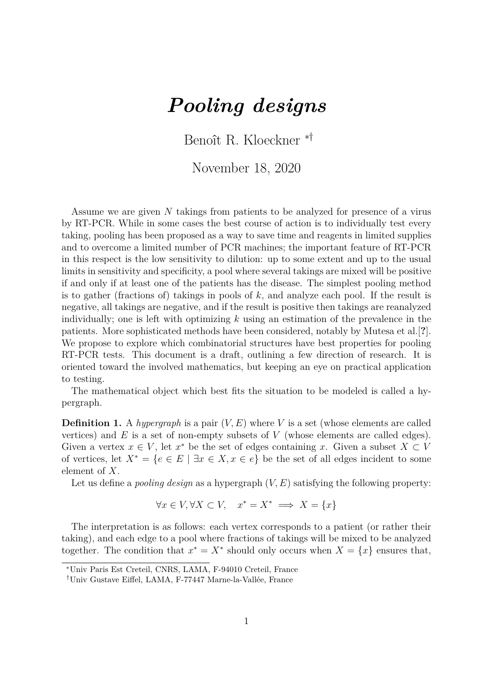## *Pooling designs*

Benoît R. Kloeckner \*†

November 18, 2020

Assume we are given  $N$  takings from patients to be analyzed for presence of a virus by RT-PCR. While in some cases the best course of action is to individually test every taking, pooling has been proposed as a way to save time and reagents in limited supplies and to overcome a limited number of PCR machines; the important feature of RT-PCR in this respect is the low sensitivity to dilution: up to some extent and up to the usual limits in sensitivity and specificity, a pool where several takings are mixed will be positive if and only if at least one of the patients has the disease. The simplest pooling method is to gather (fractions of) takings in pools of  $k$ , and analyze each pool. If the result is negative, all takings are negative, and if the result is positive then takings are reanalyzed individually; one is left with optimizing  $k$  using an estimation of the prevalence in the patients. More sophisticated methods have been considered, notably by Mutesa et al.[**?**]. We propose to explore which combinatorial structures have best properties for pooling RT-PCR tests. This document is a draft, outlining a few direction of research. It is oriented toward the involved mathematics, but keeping an eye on practical application to testing.

The mathematical object which best fits the situation to be modeled is called a hypergraph.

**Definition 1.** A *hypergraph* is a pair  $(V, E)$  where V is a set (whose elements are called vertices) and  $E$  is a set of non-empty subsets of  $V$  (whose elements are called edges). Given a vertex  $x \in V$ , let  $x^*$  be the set of edges containing x. Given a subset  $X \subset V$ of vertices, let  $X^* = \{e \in E \mid \exists x \in X, x \in e\}$  be the set of all edges incident to some element of  $X$ .

Let us define a *pooling design* as a hypergraph  $(V, E)$  satisfying the following property:

$$
\forall x \in V, \forall X \subset V, \quad x^* = X^* \implies X = \{x\}
$$

The interpretation is as follows: each vertex corresponds to a patient (or rather their taking), and each edge to a pool where fractions of takings will be mixed to be analyzed together. The condition that  $x^* = X^*$  should only occurs when  $X = \{x\}$  ensures that,

<sup>\*</sup>Univ Paris Est Creteil, CNRS, LAMA, F-94010 Creteil, France

<sup>†</sup>Univ Gustave Eiffel, LAMA, F-77447 Marne-la-Vallée, France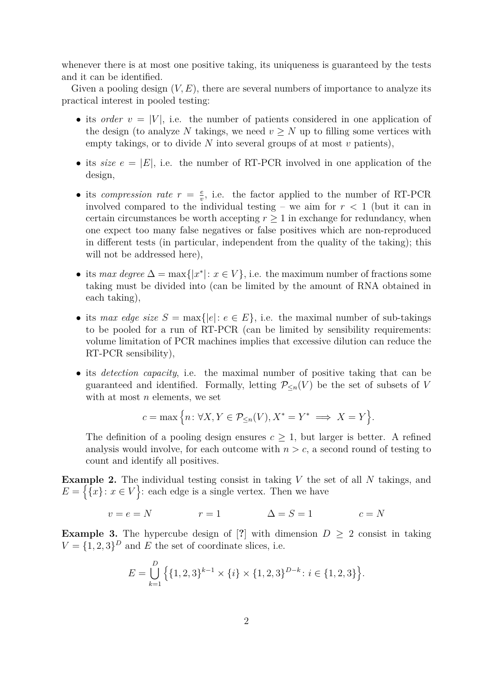whenever there is at most one positive taking, its uniqueness is guaranteed by the tests and it can be identified.

Given a pooling design  $(V, E)$ , there are several numbers of importance to analyze its practical interest in pooled testing:

- its *order*  $v = |V|$ , i.e. the number of patients considered in one application of the design (to analyze N takings, we need  $v \geq N$  up to filling some vertices with empty takings, or to divide  $N$  into several groups of at most  $v$  patients),
- its *size*  $e = |E|$ , i.e. the number of RT-PCR involved in one application of the design,
- its *compression rate*  $r = \frac{e}{r}$  $\frac{e}{v}$ , i.e. the factor applied to the number of RT-PCR involved compared to the individual testing – we aim for  $r < 1$  (but it can in certain circumstances be worth accepting  $r \geq 1$  in exchange for redundancy, when one expect too many false negatives or false positives which are non-reproduced in different tests (in particular, independent from the quality of the taking); this will not be addressed here),
- its *max degree*  $\Delta = \max\{|x^*| : x \in V\}$ , i.e. the maximum number of fractions some taking must be divided into (can be limited by the amount of RNA obtained in each taking),
- its *max edge size*  $S = \max\{|e|: e \in E\}$ , i.e. the maximal number of sub-takings to be pooled for a run of RT-PCR (can be limited by sensibility requirements: volume limitation of PCR machines implies that excessive dilution can reduce the RT-PCR sensibility),
- ∙ its *detection capacity*, i.e. the maximal number of positive taking that can be guaranteed and identified. Formally, letting  $\mathcal{P}_{\leq n}(V)$  be the set of subsets of V with at most  $n$  elements, we set

$$
c = \max\Big\{n \colon \forall X, Y \in \mathcal{P}_{\leq n}(V), X^* = Y^* \implies X = Y\Big\}.
$$

The definition of a pooling design ensures  $c \geq 1$ , but larger is better. A refined analysis would involve, for each outcome with  $n > c$ , a second round of testing to count and identify all positives.

**Example 2.** The individual testing consist in taking  $V$  the set of all  $N$  takings, and  $E = \{\{x\} : x \in V\}$ : each edge is a single vertex. Then we have

$$
v = e = N \qquad \qquad r = 1 \qquad \qquad \Delta = S = 1 \qquad \qquad c = N
$$

**Example 3.** The hypercube design of [?] with dimension  $D \geq 2$  consist in taking  $V = \{1, 2, 3\}^D$  and E the set of coordinate slices, i.e.

$$
E = \bigcup_{k=1}^{D} \left\{ \{1, 2, 3\}^{k-1} \times \{i\} \times \{1, 2, 3\}^{D-k} : i \in \{1, 2, 3\} \right\}.
$$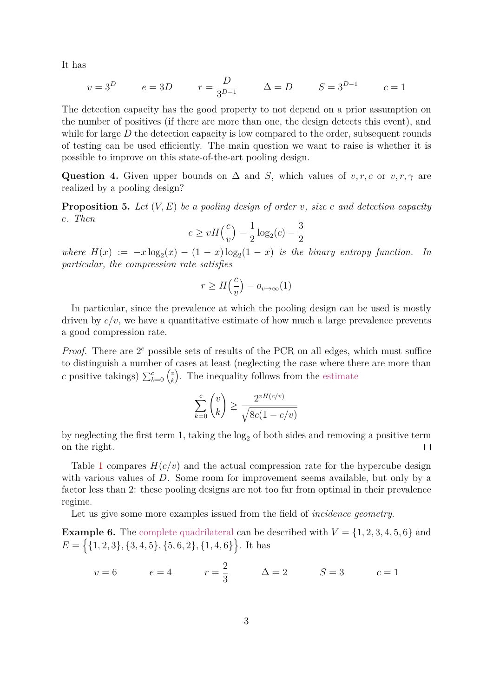It has

$$
v = 3D
$$
  $e = 3D$   $r = \frac{D}{3^{D-1}}$   $\Delta = D$   $S = 3^{D-1}$   $c = 1$ 

The detection capacity has the good property to not depend on a prior assumption on the number of positives (if there are more than one, the design detects this event), and while for large  $D$  the detection capacity is low compared to the order, subsequent rounds of testing can be used efficiently. The main question we want to raise is whether it is possible to improve on this state-of-the-art pooling design.

**Question 4.** Given upper bounds on  $\Delta$  and S, which values of  $v, r, c$  or  $v, r, \gamma$  are realized by a pooling design?

**Proposition 5.** Let  $(V, E)$  be a pooling design of order v, size e and detection capacity *. Then*

$$
e \ge vH\left(\frac{c}{v}\right) - \frac{1}{2}\log_2(c) - \frac{3}{2}
$$

where  $H(x) := -x \log_2(x) - (1-x) \log_2(1-x)$  *is the binary entropy function.* In *particular, the compression rate satisfies*

$$
r \ge H\left(\frac{c}{v}\right) - o_{v \to \infty}(1)
$$

In particular, since the prevalence at which the pooling design can be used is mostly driven by  $c/v$ , we have a quantitative estimate of how much a large prevalence prevents a good compression rate.

*Proof.* There are  $2^e$  possible sets of results of the PCR on all edges, which must suffice to distinguish a number of cases at least (neglecting the case where there are more than c positive takings)  $\sum_{k=0}^{c} \binom{v}{k}$  $\boldsymbol{k}$ ). The inequality follows from the [estimate](https://mathoverflow.net/q/261437)

$$
\sum_{k=0}^{c} \binom{v}{k} \ge \frac{2^{vH(c/v)}}{\sqrt{8c(1-c/v)}}
$$

by neglecting the first term 1, taking the  $log_2$  of both sides and removing a positive term on the right.  $\Box$ 

Table [1](#page-3-0) compares  $H(c/v)$  and the actual compression rate for the hypercube design with various values of  $D$ . Some room for improvement seems available, but only by a factor less than 2: these pooling designs are not too far from optimal in their prevalence regime.

Let us give some more examples issued from the field of *incidence geometry*.

**Example 6.** The [complete quadrilateral](https://en.wikipedia.org/wiki/Complete_quadrangle) can be described with  $V = \{1, 2, 3, 4, 5, 6\}$  and  $E = \{ \{1, 2, 3\}, \{3, 4, 5\}, \{5, 6, 2\}, \{1, 4, 6\} \}.$  It has

$$
v = 6
$$
  $e = 4$   $r = \frac{2}{3}$   $\Delta = 2$   $S = 3$   $c = 1$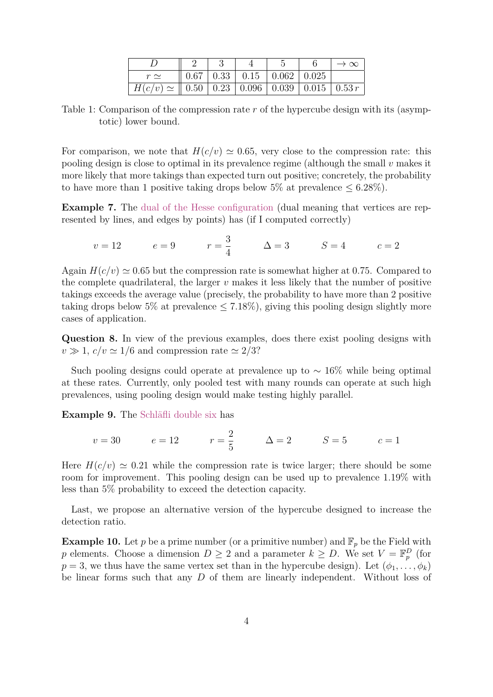|                                                                             |  |                                                  | $\rightarrow \infty$ |
|-----------------------------------------------------------------------------|--|--------------------------------------------------|----------------------|
| $r\simeq$                                                                   |  | $0.67 \mid 0.33 \mid 0.15 \mid 0.062 \mid 0.025$ |                      |
| $H(c/v) \simeq 0.50 \mid 0.23 \mid 0.096 \mid 0.039 \mid 0.015 \mid 0.53 r$ |  |                                                  |                      |

<span id="page-3-0"></span>Table 1: Comparison of the compression rate  $r$  of the hypercube design with its (asymptotic) lower bound.

For comparison, we note that  $H(c/v) \approx 0.65$ , very close to the compression rate: this pooling design is close to optimal in its prevalence regime (although the small  $v$  makes it more likely that more takings than expected turn out positive; concretely, the probability to have more than 1 positive taking drops below 5% at prevalence  $\leq 6.28\%$ ).

**Example 7.** The [dual of the Hesse configuration](https://en.wikipedia.org/wiki/Hesse_configuration) (dual meaning that vertices are represented by lines, and edges by points) has (if I computed correctly)

$$
v = 12
$$
  $e = 9$   $r = \frac{3}{4}$   $\Delta = 3$   $S = 4$   $c = 2$ 

Again  $H(c/v) \approx 0.65$  but the compression rate is somewhat higher at 0.75. Compared to the complete quadrilateral, the larger  $\nu$  makes it less likely that the number of positive takings exceeds the average value (precisely, the probability to have more than 2 positive taking drops below 5% at prevalence  $\leq 7.18\%$ , giving this pooling design slightly more cases of application.

**Question 8.** In view of the previous examples, does there exist pooling designs with  $v \gg 1$ ,  $c/v \simeq 1/6$  and compression rate  $\simeq 2/3$ ?

Such pooling designs could operate at prevalence up to  $\sim 16\%$  while being optimal at these rates. Currently, only pooled test with many rounds can operate at such high prevalences, using pooling design would make testing highly parallel.

**Example 9.** The [Schläfli double six](https://en.wikipedia.org/wiki/Schl%C3%A4fli_double_six) has

$$
v = 30
$$
  $e = 12$   $r = \frac{2}{5}$   $\Delta = 2$   $S = 5$   $c = 1$ 

Here  $H(c/v) \simeq 0.21$  while the compression rate is twice larger; there should be some room for improvement. This pooling design can be used up to prevalence 1*.*19% with less than 5% probability to exceed the detection capacity.

Last, we propose an alternative version of the hypercube designed to increase the detection ratio.

**Example 10.** Let p be a prime number (or a primitive number) and  $\mathbb{F}_p$  be the Field with p elements. Choose a dimension  $D \geq 2$  and a parameter  $k \geq D$ . We set  $V = \mathbb{F}_p^D$  (for  $p = 3$ , we thus have the same vertex set than in the hypercube design). Let  $(\phi_1, \ldots, \phi_k)$ be linear forms such that any  $D$  of them are linearly independent. Without loss of